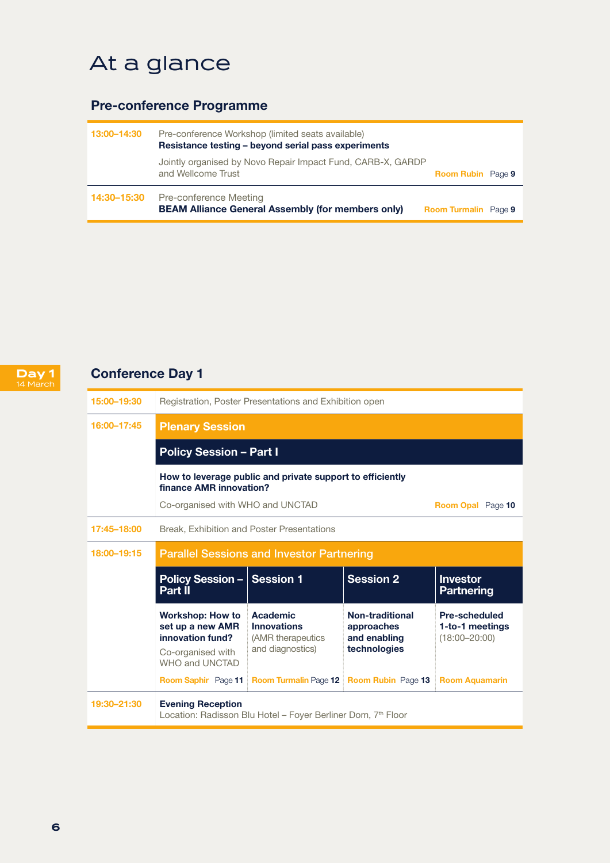## At a glance

## Pre-conference Programme

| 13:00-14:30 | Pre-conference Workshop (limited seats available)<br>Resistance testing – beyond serial pass experiments |                             |  |
|-------------|----------------------------------------------------------------------------------------------------------|-----------------------------|--|
|             | Jointly organised by Novo Repair Impact Fund, CARB-X, GARDP<br>and Wellcome Trust                        | <b>Room Rubin</b> Page 9    |  |
| 14:30–15:30 | Pre-conference Meeting<br><b>BEAM Alliance General Assembly (for members only)</b>                       | <b>Room Turmalin</b> Page 9 |  |



## Conference Day 1

| 15:00-19:30 | Registration, Poster Presentations and Exhibition open                                                 |                                                                             |                                                               |                                                              |  |  |  |
|-------------|--------------------------------------------------------------------------------------------------------|-----------------------------------------------------------------------------|---------------------------------------------------------------|--------------------------------------------------------------|--|--|--|
| 16:00-17:45 | <b>Plenary Session</b>                                                                                 |                                                                             |                                                               |                                                              |  |  |  |
|             | <b>Policy Session - Part I</b>                                                                         |                                                                             |                                                               |                                                              |  |  |  |
|             | How to leverage public and private support to efficiently<br>finance AMR innovation?                   |                                                                             |                                                               |                                                              |  |  |  |
|             | Co-organised with WHO and UNCTAD<br>Room Opal Page 10                                                  |                                                                             |                                                               |                                                              |  |  |  |
| 17:45-18:00 | Break, Exhibition and Poster Presentations                                                             |                                                                             |                                                               |                                                              |  |  |  |
| 18:00-19:15 | <b>Parallel Sessions and Investor Partnering</b>                                                       |                                                                             |                                                               |                                                              |  |  |  |
|             | <b>Policy Session - Session 1</b><br>Part II                                                           |                                                                             | <b>Session 2</b>                                              | <b>Investor</b><br><b>Partnering</b>                         |  |  |  |
|             | <b>Workshop: How to</b><br>set up a new AMR<br>innovation fund?<br>Co-organised with<br>WHO and UNCTAD | Academic<br><b>Innovations</b><br>(AMR therapeutics)<br>and diagnostics)    | Non-traditional<br>approaches<br>and enabling<br>technologies | <b>Pre-scheduled</b><br>1-to-1 meetings<br>$(18:00 - 20:00)$ |  |  |  |
|             |                                                                                                        | Room Saphir Page 11 Room Turmalin Page 12 Room Rubin Page 13 Room Aquamarin |                                                               |                                                              |  |  |  |
| 19:30-21:30 | <b>Evening Reception</b><br>Location: Radisson Blu Hotel - Foyer Berliner Dom, 7th Floor               |                                                                             |                                                               |                                                              |  |  |  |